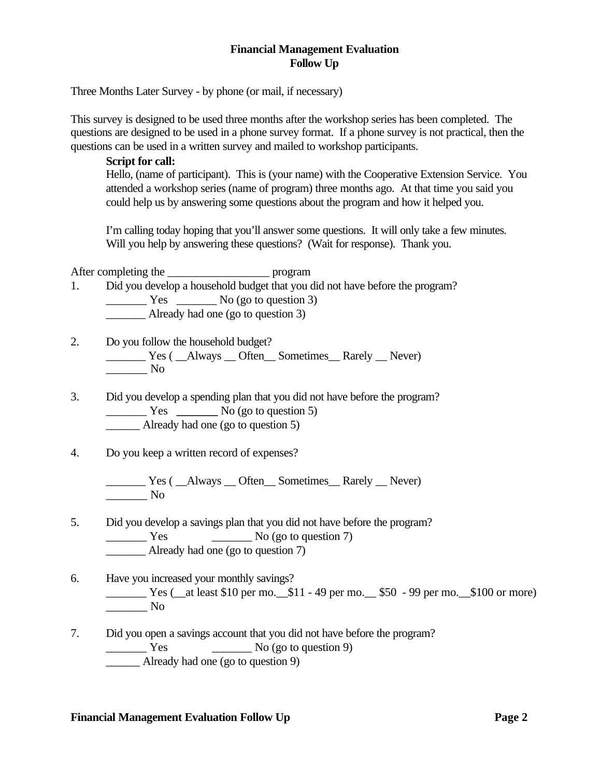## **Financial Management Evaluation Follow Up**

Three Months Later Survey - by phone (or mail, if necessary)

This survey is designed to be used three months after the workshop series has been completed. The questions are designed to be used in a phone survey format. If a phone survey is not practical, then the questions can be used in a written survey and mailed to workshop participants.

**Script for call:**

Hello, (name of participant). This is (your name) with the Cooperative Extension Service. You attended a workshop series (name of program) three months ago. At that time you said you could help us by answering some questions about the program and how it helped you.

I'm calling today hoping that you'll answer some questions. It will only take a few minutes. Will you help by answering these questions? (Wait for response). Thank you.

After completing the \_\_\_\_\_\_\_\_\_\_\_\_\_\_\_\_\_\_ program

- 1. Did you develop a household budget that you did not have before the program?  $\frac{1}{\sqrt{1-\frac{1}{\sqrt{1-\frac{1}{\sqrt{1-\frac{1}{\sqrt{1-\frac{1}{\sqrt{1-\frac{1}{\sqrt{1-\frac{1}{\sqrt{1-\frac{1}{\sqrt{1-\frac{1}{\sqrt{1-\frac{1}{\sqrt{1-\frac{1}{\sqrt{1-\frac{1}{\sqrt{1-\frac{1}{\sqrt{1-\frac{1}{\sqrt{1-\frac{1}{\sqrt{1-\frac{1}{\sqrt{1-\frac{1}{\sqrt{1-\frac{1}{\sqrt{1-\frac{1}{\sqrt{1-\frac{1}{\sqrt{1-\frac{1}{\sqrt{1-\frac{1}{\sqrt{1-\frac{1}{\sqrt{1-\frac{1}{\sqrt{1-\frac{1$ \_\_\_\_\_\_\_ Already had one (go to question 3)
- 2. Do you follow the household budget? \_\_\_\_\_\_\_ Yes ( \_\_Always \_\_ Often\_\_ Sometimes\_\_ Rarely \_\_ Never) \_\_\_\_\_\_\_ No
- 3. Did you develop a spending plan that you did not have before the program? Yes No (go to question 5) Already had one (go to question 5)

4. Do you keep a written record of expenses?

\_\_\_\_\_\_\_ Yes ( \_\_Always \_\_ Often\_\_ Sometimes\_\_ Rarely \_\_ Never)  $\_\_\_\$  No

- 5. Did you develop a savings plan that you did not have before the program?  $\frac{1}{\sqrt{1 - \frac{1}{\sqrt{1 - \frac{1}{\sqrt{1 - \frac{1}{\sqrt{1 - \frac{1}{\sqrt{1 - \frac{1}{\sqrt{1 - \frac{1}{\sqrt{1 - \frac{1}{\sqrt{1 - \frac{1}{\sqrt{1 - \frac{1}{\sqrt{1 - \frac{1}{\sqrt{1 - \frac{1}{\sqrt{1 - \frac{1}{\sqrt{1 - \frac{1}{\sqrt{1 - \frac{1}{\sqrt{1 - \frac{1}{\sqrt{1 - \frac{1}{\sqrt{1 - \frac{1}{\sqrt{1 - \frac{1}{\sqrt{1 - \frac{1}{\sqrt{1 - \frac{1}{\sqrt{1 - \frac{1}{\sqrt{1 -$ \_\_\_\_\_\_\_ Already had one (go to question 7)
- 6. Have you increased your monthly savings? \_\_\_\_\_\_\_ Yes (\_\_at least \$10 per mo.\_\_\$11 - 49 per mo.\_\_ \$50 - 99 per mo.\_\_\$100 or more)  $\overline{\phantom{a}}$  No
- 7. Did you open a savings account that you did not have before the program?  $\frac{1}{\sqrt{1-\frac{1}{\sqrt{1-\frac{1}{\sqrt{1-\frac{1}{\sqrt{1-\frac{1}{\sqrt{1-\frac{1}{\sqrt{1-\frac{1}{\sqrt{1-\frac{1}{\sqrt{1-\frac{1}{\sqrt{1-\frac{1}{\sqrt{1-\frac{1}{\sqrt{1-\frac{1}{\sqrt{1-\frac{1}{\sqrt{1-\frac{1}{\sqrt{1-\frac{1}{\sqrt{1-\frac{1}{\sqrt{1-\frac{1}{\sqrt{1-\frac{1}{\sqrt{1-\frac{1}{\sqrt{1-\frac{1}{\sqrt{1-\frac{1}{\sqrt{1-\frac{1}{\sqrt{1-\frac{1}{\sqrt{1-\frac{1}{\sqrt{1-\frac{1$ Already had one (go to question 9)